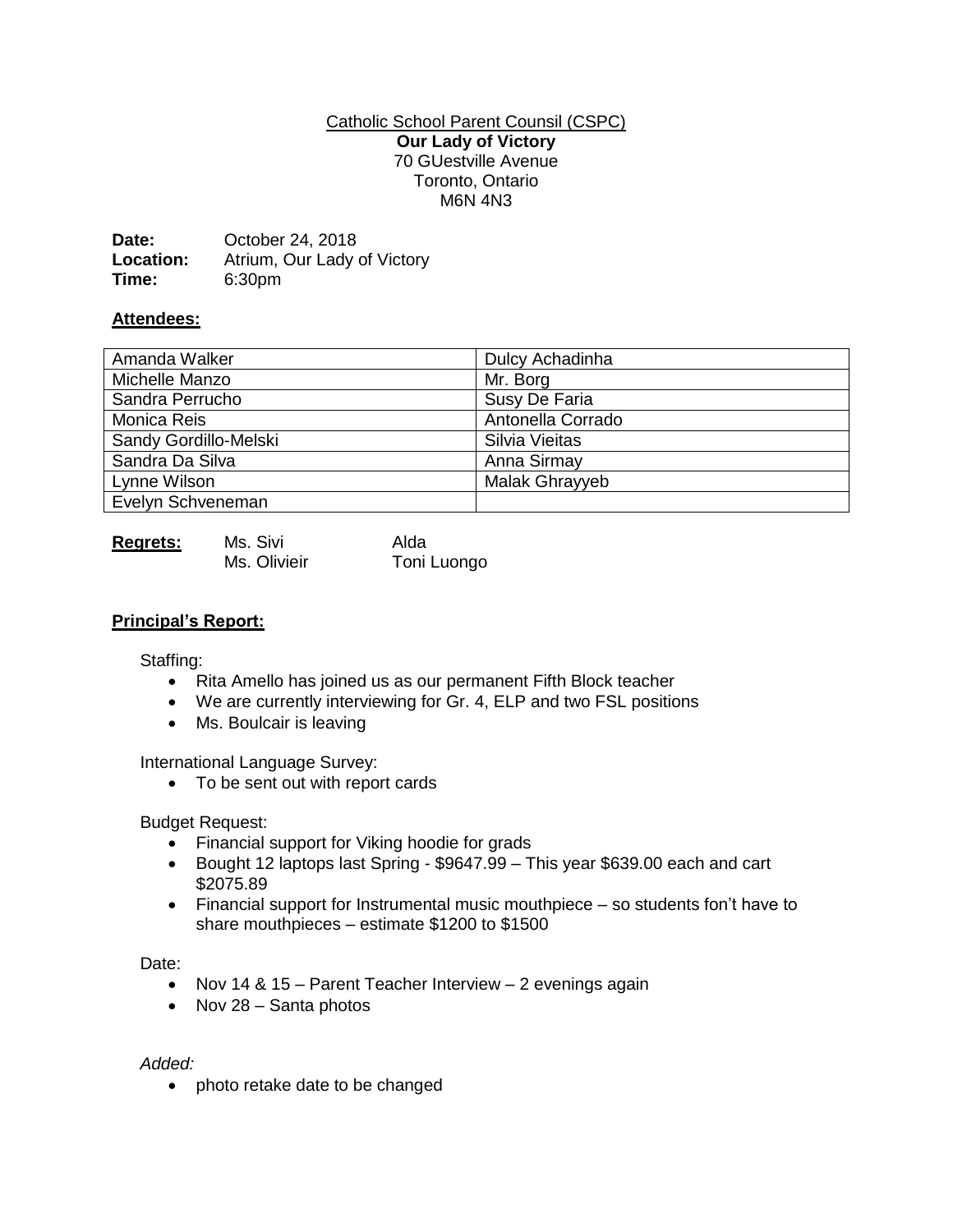### Catholic School Parent Counsil (CSPC) **Our Lady of Victory** 70 GUestville Avenue Toronto, Ontario M6N 4N3

| Date:     | October 24, 2018            |
|-----------|-----------------------------|
| Location: | Atrium, Our Lady of Victory |
| Time:     | 6:30pm                      |

## **Attendees:**

| Amanda Walker         | Dulcy Achadinha   |
|-----------------------|-------------------|
| Michelle Manzo        | Mr. Borg          |
| Sandra Perrucho       | Susy De Faria     |
| Monica Reis           | Antonella Corrado |
| Sandy Gordillo-Melski | Silvia Vieitas    |
| Sandra Da Silva       | Anna Sirmay       |
| Lynne Wilson          | Malak Ghrayyeb    |
| Evelyn Schveneman     |                   |

| <b>Regrets:</b> | Ms. Sivi     | Alda        |
|-----------------|--------------|-------------|
|                 | Ms. Olivieir | Toni Luongo |

## **Principal's Report:**

Staffing:

- Rita Amello has joined us as our permanent Fifth Block teacher
- We are currently interviewing for Gr. 4, ELP and two FSL positions
- Ms. Boulcair is leaving

International Language Survey:

• To be sent out with report cards

Budget Request:

- Financial support for Viking hoodie for grads
- Bought 12 laptops last Spring \$9647.99 This year \$639.00 each and cart \$2075.89
- Financial support for Instrumental music mouthpiece so students fon't have to share mouthpieces – estimate \$1200 to \$1500

Date:

- Nov 14 & 15 Parent Teacher Interview 2 evenings again
- Nov  $28 -$  Santa photos

#### *Added:*

• photo retake date to be changed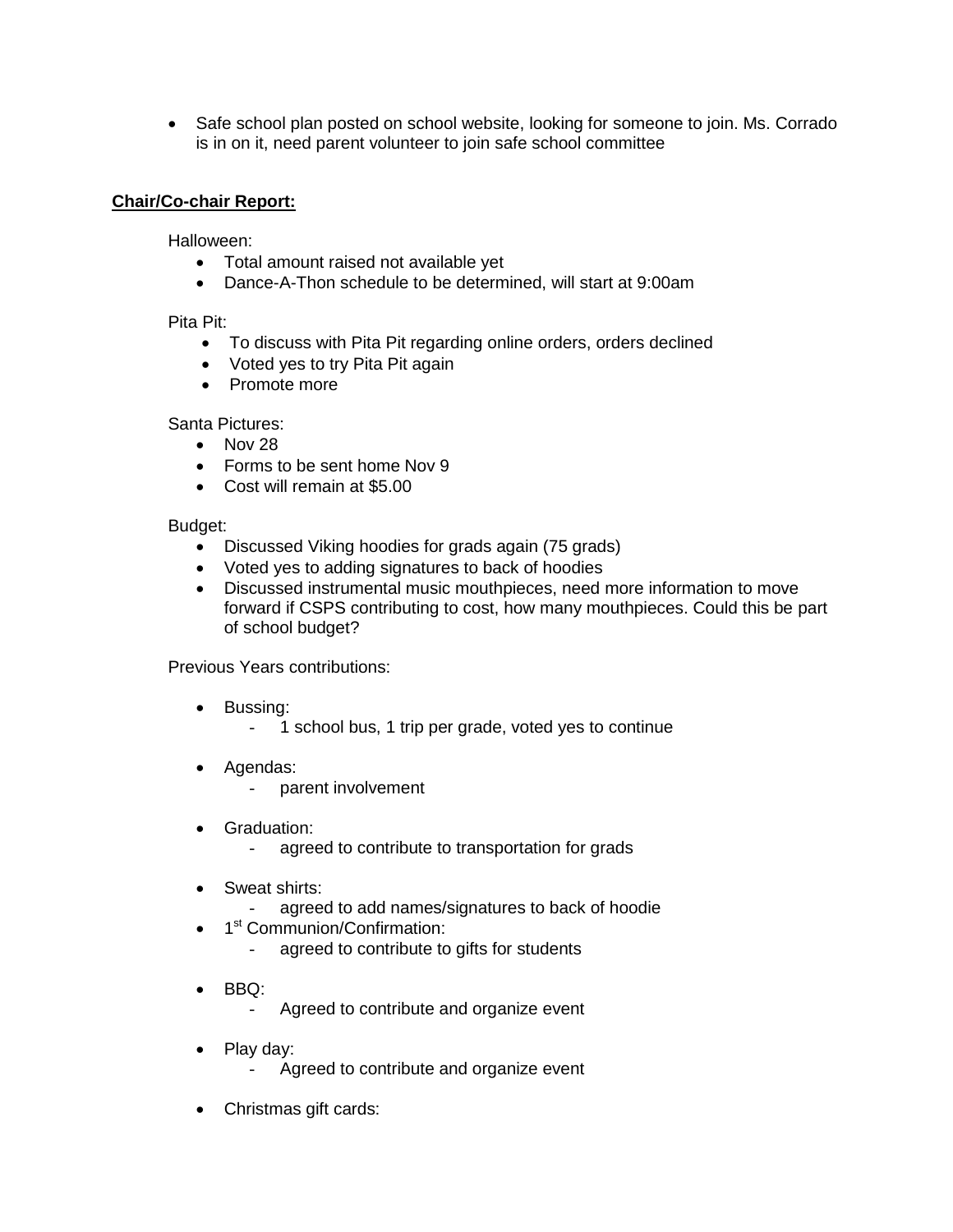• Safe school plan posted on school website, looking for someone to join. Ms. Corrado is in on it, need parent volunteer to join safe school committee

# **Chair/Co-chair Report:**

Halloween:

- Total amount raised not available yet
- Dance-A-Thon schedule to be determined, will start at 9:00am

### Pita Pit:

- To discuss with Pita Pit regarding online orders, orders declined
- Voted yes to try Pita Pit again
- Promote more

Santa Pictures:

- $\bullet$  Nov 28
- Forms to be sent home Nov 9
- Cost will remain at \$5.00

Budget:

- Discussed Viking hoodies for grads again (75 grads)
- Voted yes to adding signatures to back of hoodies
- Discussed instrumental music mouthpieces, need more information to move forward if CSPS contributing to cost, how many mouthpieces. Could this be part of school budget?

Previous Years contributions:

- Bussing:
	- 1 school bus, 1 trip per grade, voted yes to continue
- Agendas:
	- parent involvement
- Graduation:
	- agreed to contribute to transportation for grads
- Sweat shirts:
	- agreed to add names/signatures to back of hoodie
- 1<sup>st</sup> Communion/Confirmation:
	- agreed to contribute to gifts for students
- BBQ:
	- Agreed to contribute and organize event
- Play day:
	- Agreed to contribute and organize event
- Christmas gift cards: